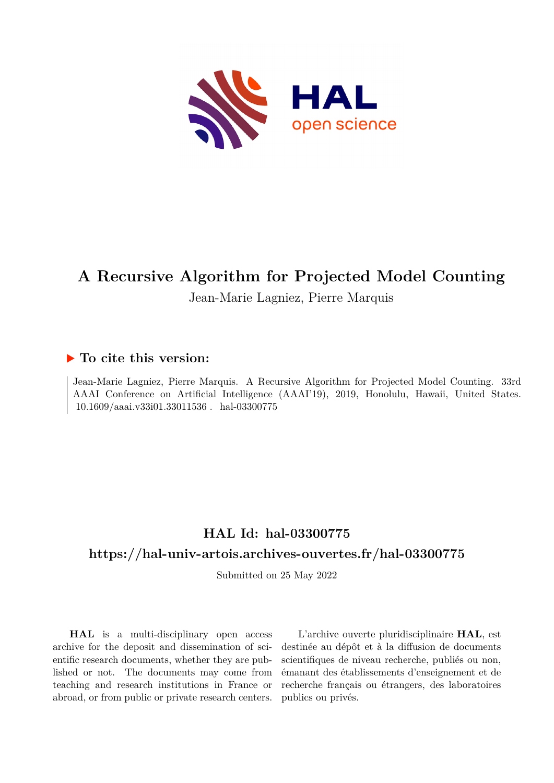

# **A Recursive Algorithm for Projected Model Counting**

Jean-Marie Lagniez, Pierre Marquis

## **To cite this version:**

Jean-Marie Lagniez, Pierre Marquis. A Recursive Algorithm for Projected Model Counting. 33rd AAAI Conference on Artificial Intelligence (AAAI'19), 2019, Honolulu, Hawaii, United States.  $10.1609/a$ aai.v33i01.33011536. hal-03300775

## **HAL Id: hal-03300775**

## **<https://hal-univ-artois.archives-ouvertes.fr/hal-03300775>**

Submitted on 25 May 2022

**HAL** is a multi-disciplinary open access archive for the deposit and dissemination of scientific research documents, whether they are published or not. The documents may come from teaching and research institutions in France or abroad, or from public or private research centers.

L'archive ouverte pluridisciplinaire **HAL**, est destinée au dépôt et à la diffusion de documents scientifiques de niveau recherche, publiés ou non, émanant des établissements d'enseignement et de recherche français ou étrangers, des laboratoires publics ou privés.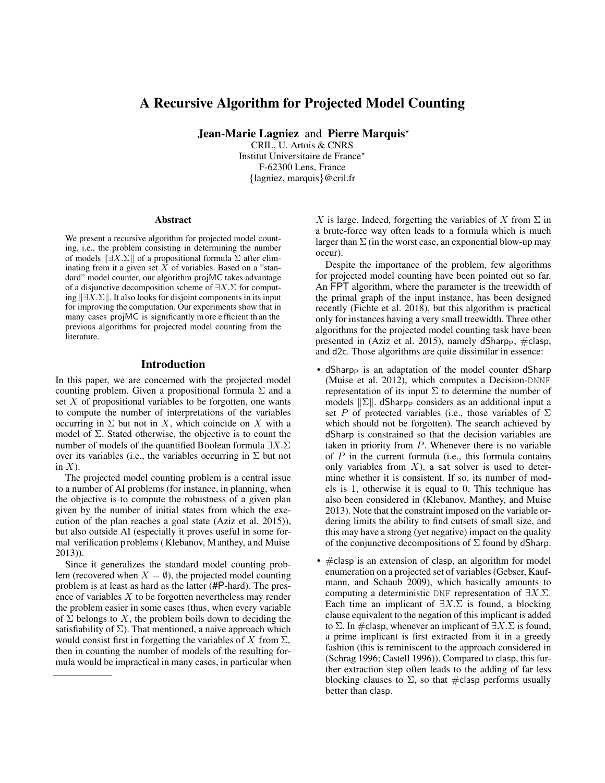### A Recursive Algorithm for Projected Model Counting

Jean-Marie Lagniez and Pierre Marquis<sup>\*</sup>

CRIL, U. Artois & CNRS Institut Universitaire de France\* F-62300 Lens, France {lagniez, marquis}@cril.fr

#### Abstract

We present a recursive algorithm for projected model counting, i.e., the problem consisting in determining the number of models  $\|\exists X.\Sigma\|$  of a propositional formula  $\Sigma$  after eliminating from it a given set  $X$  of variables. Based on a "standard" model counter, our algorithm projMC takes advantage of a disjunctive decomposition scheme of ∃X.Σ for computing  $\|\exists X.\Sigma\|$ . It also looks for disjoint components in its input for improving the computation. Our experiments show that in many cases projMC is significantly m ore e fficient th an the previous algorithms for projected model counting from the literature.

#### Introduction

In this paper, we are concerned with the projected model counting problem. Given a propositional formula  $\Sigma$  and a set  $X$  of propositional variables to be forgotten, one wants to compute the number of interpretations of the variables occurring in  $\Sigma$  but not in X, which coincide on X with a model of  $\Sigma$ . Stated otherwise, the objective is to count the number of models of the quantified Boolean formula ∃X.Σ over its variables (i.e., the variables occurring in  $\Sigma$  but not in  $X$ ).

The projected model counting problem is a central issue to a number of AI problems (for instance, in planning, when the objective is to compute the robustness of a given plan given by the number of initial states from which the execution of the plan reaches a goal state (Aziz et al. 2015)), but also outside AI (especially it proves useful in some formal verification p roblems ( Klebanov, M anthey, a nd Muise 2013)).

Since it generalizes the standard model counting problem (recovered when  $X = \emptyset$ ), the projected model counting problem is at least as hard as the latter (#P-hard). The presence of variables X to be forgotten nevertheless may render the problem easier in some cases (thus, when every variable of  $\Sigma$  belongs to X, the problem boils down to deciding the satisfiability of  $\Sigma$ ). That mentioned, a naive approach which would consist first in forgetting the variables of X from  $\Sigma$ , then in counting the number of models of the resulting formula would be impractical in many cases, in particular when

X is large. Indeed, forgetting the variables of X from  $\Sigma$  in a brute-force way often leads to a formula which is much larger than  $\Sigma$  (in the worst case, an exponential blow-up may occur).

Despite the importance of the problem, few algorithms for projected model counting have been pointed out so far. An FPT algorithm, where the parameter is the treewidth of the primal graph of the input instance, has been designed recently (Fichte et al. 2018), but this algorithm is practical only for instances having a very small treewidth. Three other algorithms for the projected model counting task have been presented in (Aziz et al. 2015), namely dSharpp,  $\#$ clasp, and d2c. Those algorithms are quite dissimilar in essence:

- dSharpp is an adaptation of the model counter dSharp (Muise et al. 2012), which computes a Decision-DNNF representation of its input  $\Sigma$  to determine the number of models  $\|\Sigma\|$ . dSharp<sub>P</sub> considers as an additional input a set P of protected variables (i.e., those variables of  $\Sigma$ which should not be forgotten). The search achieved by dSharp is constrained so that the decision variables are taken in priority from P. Whenever there is no variable of  $P$  in the current formula (i.e., this formula contains only variables from  $X$ ), a sat solver is used to determine whether it is consistent. If so, its number of models is 1, otherwise it is equal to 0. This technique has also been considered in (Klebanov, Manthey, and Muise 2013). Note that the constraint imposed on the variable ordering limits the ability to find cutsets of small size, and this may have a strong (yet negative) impact on the quality of the conjunctive decompositions of  $\Sigma$  found by dSharp.
- #clasp is an extension of clasp, an algorithm for model enumeration on a projected set of variables (Gebser, Kaufmann, and Schaub 2009), which basically amounts to computing a deterministic DNF representation of  $\exists X.\Sigma$ . Each time an implicant of  $\exists X.\Sigma$  is found, a blocking clause equivalent to the negation of this implicant is added to  $\Sigma$ . In #clasp, whenever an implicant of  $\exists X.\Sigma$  is found, a prime implicant is first extracted from it in a greedy fashion (this is reminiscent to the approach considered in (Schrag 1996; Castell 1996)). Compared to clasp, this further extraction step often leads to the adding of far less blocking clauses to  $\Sigma$ , so that #clasp performs usually better than clasp.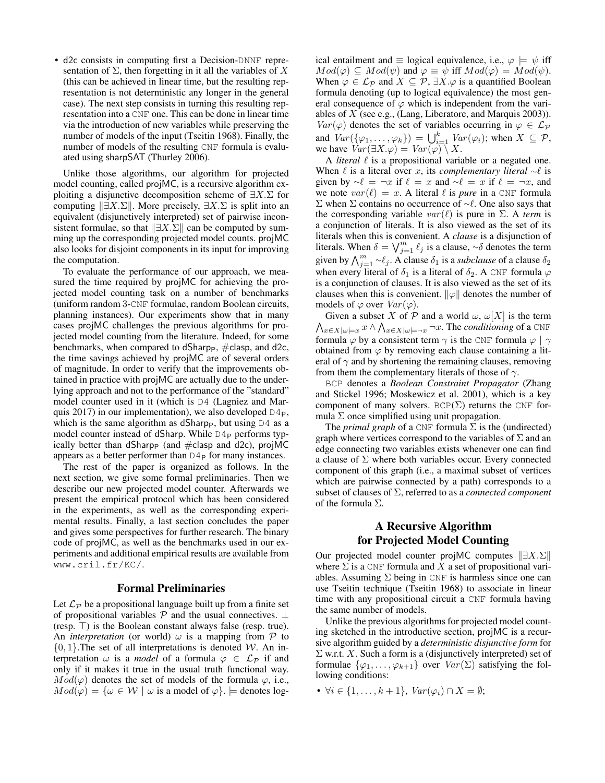• d2c consists in computing first a Decision-DNNF representation of  $\Sigma$ , then forgetting in it all the variables of X (this can be achieved in linear time, but the resulting representation is not deterministic any longer in the general case). The next step consists in turning this resulting representation into a CNF one. This can be done in linear time via the introduction of new variables while preserving the number of models of the input (Tseitin 1968). Finally, the number of models of the resulting CNF formula is evaluated using sharpSAT (Thurley 2006).

Unlike those algorithms, our algorithm for projected model counting, called projMC, is a recursive algorithm exploiting a disjunctive decomposition scheme of  $\exists X.\Sigma$  for computing  $||\exists X.\Sigma||$ . More precisely,  $\exists X.\Sigma$  is split into an equivalent (disjunctively interpreted) set of pairwise inconsistent formulae, so that  $||\exists X.\Sigma||$  can be computed by summing up the corresponding projected model counts. projMC also looks for disjoint components in its input for improving the computation.

To evaluate the performance of our approach, we measured the time required by projMC for achieving the projected model counting task on a number of benchmarks (uniform random 3-CNF formulae, random Boolean circuits, planning instances). Our experiments show that in many cases projMC challenges the previous algorithms for projected model counting from the literature. Indeed, for some benchmarks, when compared to dSharp<sub>P</sub>,  $\#$ clasp, and d2c, the time savings achieved by projMC are of several orders of magnitude. In order to verify that the improvements obtained in practice with projMC are actually due to the underlying approach and not to the performance of the "standard" model counter used in it (which is D4 (Lagniez and Marquis 2017) in our implementation), we also developed  $D4_P$ , which is the same algorithm as dSharpp, but using  $D4$  as a model counter instead of dSharp. While  $D4P$  performs typically better than dSharp<sub>P</sub> (and  $#$ clasp and d2c), projMC appears as a better performer than  $D4P$  for many instances.

The rest of the paper is organized as follows. In the next section, we give some formal preliminaries. Then we describe our new projected model counter. Afterwards we present the empirical protocol which has been considered in the experiments, as well as the corresponding experimental results. Finally, a last section concludes the paper and gives some perspectives for further research. The binary code of projMC, as well as the benchmarks used in our experiments and additional empirical results are available from www.cril.fr/KC/.

#### Formal Preliminaries

Let  $\mathcal{L}_{\mathcal{P}}$  be a propositional language built up from a finite set of propositional variables  $P$  and the usual connectives.  $\perp$ (resp.  $\top$ ) is the Boolean constant always false (resp. true). An *interpretation* (or world)  $\omega$  is a mapping from  $\mathcal P$  to  $\{0, 1\}$ . The set of all interpretations is denoted W. An interpretation  $\omega$  is a *model* of a formula  $\varphi \in \mathcal{L}_{\mathcal{P}}$  if and only if it makes it true in the usual truth functional way.  $Mod(\varphi)$  denotes the set of models of the formula  $\varphi$ , i.e.,  $Mod(\varphi) = {\omega \in \mathcal{W} \mid \omega \text{ is a model of } \varphi}.$   $\models$  denotes logical entailment and  $\equiv$  logical equivalence, i.e.,  $\varphi \models \psi$  iff  $Mod(\varphi) \subseteq Mod(\psi)$  and  $\varphi \equiv \psi$  iff  $Mod(\varphi) = Mod(\psi)$ . When  $\varphi \in \mathcal{L}_{\mathcal{P}}$  and  $X \subseteq \mathcal{P}$ ,  $\exists X \cdot \varphi$  is a quantified Boolean formula denoting (up to logical equivalence) the most general consequence of  $\varphi$  which is independent from the variables of X (see e.g., (Lang, Liberatore, and Marquis 2003)).  $Var(\varphi)$  denotes the set of variables occurring in  $\varphi \in \mathcal{L}_{\mathcal{P}}$ and  $Var(\{\varphi_1, \ldots, \varphi_k\}) = \bigcup_{i=1}^k Var(\varphi_i)$ ; when  $X \subseteq \mathcal{P}$ , we have  $Var(\exists X.\varphi) = Var(\varphi) \setminus X$ .

A *literal*  $\ell$  is a propositional variable or a negated one. When  $\ell$  is a literal over x, its *complementary literal* ∼ $\ell$  is given by  $\sim \ell = \neg x$  if  $\ell = x$  and  $\sim \ell = x$  if  $\ell = \neg x$ , and we note  $var(\ell) = x$ . A literal  $\ell$  is *pure* in a CNF formula Σ when Σ contains no occurrence of ∼ $\ell$ . One also says that the corresponding variable  $var(\ell)$  is pure in  $\Sigma$ . A *term* is a conjunction of literals. It is also viewed as the set of its literals when this is convenient. A *clause* is a disjunction of literals. When  $\delta = \bigvee_{j=1}^{m} \ell_j$  is a clause, ∼ $\delta$  denotes the term given by  $\bigwedge_{j=1}^m \sim \ell_j$ . A clause  $\delta_1$  is a *subclause* of a clause  $\delta_2$ when every literal of  $\delta_1$  is a literal of  $\delta_2$ . A CNF formula  $\varphi$ is a conjunction of clauses. It is also viewed as the set of its clauses when this is convenient.  $\|\varphi\|$  denotes the number of models of  $\varphi$  over  $Var(\varphi)$ .

 $\bigwedge_{x\in X|\omega\models x}x\wedge \bigwedge_{x\in X|\omega\models \neg x}\neg x.$  The *conditioning* of a CNF Given a subset X of P and a world  $\omega$ ,  $\omega[X]$  is the term formula  $\varphi$  by a consistent term  $\gamma$  is the CNF formula  $\varphi | \gamma$ obtained from  $\varphi$  by removing each clause containing a literal of  $\gamma$  and by shortening the remaining clauses, removing from them the complementary literals of those of  $\gamma$ .

BCP denotes a *Boolean Constraint Propagator* (Zhang and Stickel 1996; Moskewicz et al. 2001), which is a key component of many solvers. BCP( $\Sigma$ ) returns the CNF formula  $\Sigma$  once simplified using unit propagation.

The *primal graph* of a CNF formula  $\Sigma$  is the (undirected) graph where vertices correspond to the variables of  $\Sigma$  and an edge connecting two variables exists whenever one can find a clause of  $\Sigma$  where both variables occur. Every connected component of this graph (i.e., a maximal subset of vertices which are pairwise connected by a path) corresponds to a subset of clauses of Σ, referred to as a *connected component* of the formula  $\Sigma$ .

### A Recursive Algorithm for Projected Model Counting

Our projected model counter projMC computes  $||\exists X.\Sigma||$ where  $\Sigma$  is a CNF formula and X a set of propositional variables. Assuming  $\Sigma$  being in CNF is harmless since one can use Tseitin technique (Tseitin 1968) to associate in linear time with any propositional circuit a CNF formula having the same number of models.

Unlike the previous algorithms for projected model counting sketched in the introductive section, projMC is a recursive algorithm guided by a *deterministic disjunctive form* for  $\Sigma$  w.r.t. X. Such a form is a (disjunctively interpreted) set of formulae  $\{\varphi_1, \ldots, \varphi_{k+1}\}\$  over  $Var(\Sigma)$  satisfying the following conditions:

•  $\forall i \in \{1, \ldots, k+1\}, \; Var(\varphi_i) \cap X = \emptyset;$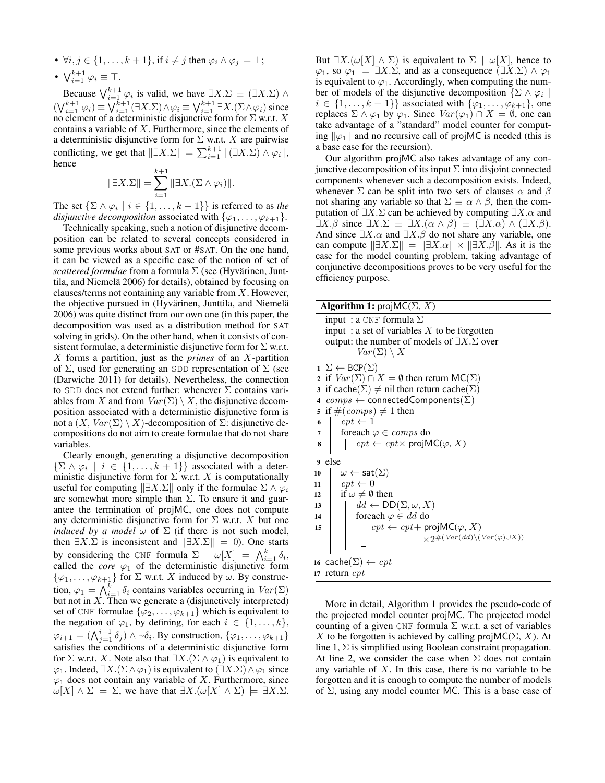- $\forall i, j \in \{1, \ldots, k+1\}$ , if  $i \neq j$  then  $\varphi_i \wedge \varphi_j \models \bot;$
- $\bigvee_{i=1}^{k+1} \varphi_i \equiv \top.$

Because  $\bigvee_{i=1}^{k+1} \varphi_i$  is valid, we have  $\exists X.\Sigma \equiv (\exists X.\Sigma) \wedge$  $(\bigvee_{i=1}^{k+1} \varphi_i) \equiv \bigvee_{i=1}^{k+1} (\exists X. \Sigma) \wedge \varphi_i \equiv \bigvee_{i=1}^{k+1} \exists X. (\Sigma \wedge \varphi_i)$  since no element of a deterministic disjunctive form for  $\Sigma$  w.r.t. X contains a variable of X. Furthermore, since the elements of a deterministic disjunctive form for  $\Sigma$  w.r.t. X are pairwise conflicting, we get that  $\|\exists X.\Sigma\| = \sum_{i=1}^{k+1} \| (\exists X.\Sigma) \wedge \varphi_i \|,$ hence

$$
\|\exists X.\Sigma\| = \sum_{i=1}^{k+1} \|\exists X.(\Sigma \wedge \varphi_i)\|.
$$

The set  $\{\Sigma \wedge \varphi_i \mid i \in \{1, \ldots, k+1\}\}\$ is referred to as *the disjunctive decomposition* associated with  $\{\varphi_1, \ldots, \varphi_{k+1}\}.$ 

Technically speaking, such a notion of disjunctive decomposition can be related to several concepts considered in some previous works about SAT or #SAT. On the one hand, it can be viewed as a specific case of the notion of set of *scattered formulae* from a formula  $\Sigma$  (see (Hyvärinen, Junttila, and Niemelä 2006) for details), obtained by focusing on clauses/terms not containing any variable from  $X$ . However, the objective pursued in (Hyvärinen, Junttila, and Niemelä 2006) was quite distinct from our own one (in this paper, the decomposition was used as a distribution method for SAT solving in grids). On the other hand, when it consists of consistent formulae, a deterministic disjunctive form for  $\Sigma$  w.r.t. X forms a partition, just as the *primes* of an X-partition of  $\Sigma$ , used for generating an SDD representation of  $\Sigma$  (see (Darwiche 2011) for details). Nevertheless, the connection to SDD does not extend further: whenever  $\Sigma$  contains variables from X and from  $Var(\Sigma) \setminus X$ , the disjunctive decomposition associated with a deterministic disjunctive form is not a  $(X, Var(Σ) \setminus X)$ -decomposition of  $Σ$ : disjunctive decompositions do not aim to create formulae that do not share variables.

Clearly enough, generating a disjunctive decomposition  $\{\Sigma \wedge \varphi_i \mid i \in \{1, \ldots, k+1\}\}\$  associated with a deterministic disjunctive form for  $\Sigma$  w.r.t. X is computationally useful for computing  $||\exists X.\Sigma||$  only if the formulae  $\Sigma \wedge \varphi_i$ are somewhat more simple than  $\Sigma$ . To ensure it and guarantee the termination of projMC, one does not compute any deterministic disjunctive form for  $\Sigma$  w.r.t. X but one *induced by a model*  $\omega$  of  $\Sigma$  (if there is not such model, then  $\exists X.\Sigma$  is inconsistent and  $\|\exists X.\Sigma\| = 0$ ). One starts by considering the CNF formula  $\Sigma \mid \omega[X] = \bigwedge_{i=1}^k \delta_i$ , called the *core*  $\varphi_1$  of the deterministic disjunctive form  $\{\varphi_1, \ldots, \varphi_{k+1}\}\$  for  $\Sigma$  w.r.t. X induced by  $\omega$ . By construction,  $\varphi_1 = \bigwedge_{i=1}^k \delta_i$  contains variables occurring in  $Var(\Sigma)$ but not in  $X$ . Then we generate a (disjunctively interpreted) set of CNF formulae  $\{\varphi_2, \ldots, \varphi_{k+1}\}\$  which is equivalent to the negation of  $\varphi_1$ , by defining, for each  $i \in \{1, \ldots, k\},$  $\varphi_{i+1} = (\bigwedge_{j=1}^{i-1} \delta_j) \wedge \neg \delta_i$ . By construction,  $\{\varphi_1, \dots, \varphi_{k+1}\}\$ satisfies the conditions of a deterministic disjunctive form for  $\Sigma$  w.r.t. X. Note also that  $\exists X.(\Sigma \wedge \varphi_1)$  is equivalent to  $\varphi_1$ . Indeed,  $\exists X.(\Sigma \wedge \varphi_1)$  is equivalent to  $(\exists X.\Sigma) \wedge \varphi_1$  since  $\varphi_1$  does not contain any variable of X. Furthermore, since  $\omega[X] \wedge \Sigma \models \Sigma$ , we have that  $\exists X.(\omega[X] \wedge \Sigma) \models \exists X.\Sigma$ . But  $\exists X.(\omega[X] \wedge \Sigma)$  is equivalent to  $\Sigma \mid \omega[X]$ , hence to  $\varphi_1$ , so  $\varphi_1 \models \exists X.\Sigma$ , and as a consequence  $(\exists X.\Sigma) \land \varphi_1$ is equivalent to  $\varphi_1$ . Accordingly, when computing the number of models of the disjunctive decomposition  $\{\Sigma \wedge \varphi_i \mid$  $i \in \{1, \ldots, k+1\}$  associated with  $\{\varphi_1, \ldots, \varphi_{k+1}\}\)$ , one replaces  $\Sigma \wedge \varphi_1$  by  $\varphi_1$ . Since  $Var(\varphi_1) \cap X = \emptyset$ , one can take advantage of a "standard" model counter for computing  $\|\varphi_1\|$  and no recursive call of projMC is needed (this is a base case for the recursion).

Our algorithm projMC also takes advantage of any conjunctive decomposition of its input  $\Sigma$  into disjoint connected components whenever such a decomposition exists. Indeed, whenever  $\Sigma$  can be split into two sets of clauses  $\alpha$  and  $\beta$ not sharing any variable so that  $\Sigma \equiv \alpha \wedge \beta$ , then the computation of  $\exists X.\Sigma$  can be achieved by computing  $\exists X.\alpha$  and  $\exists X.\beta$  since  $\exists X.\Sigma \equiv \exists X.(\alpha \wedge \beta) \equiv (\exists X.\alpha) \wedge (\exists X.\beta).$ And since  $\exists X \cdot \alpha$  and  $\exists X \cdot \beta$  do not share any variable, one can compute  $||\exists X.\Sigma|| = ||\exists X.\alpha|| \times ||\exists X.\beta||$ . As it is the case for the model counting problem, taking advantage of conjunctive decompositions proves to be very useful for the efficiency purpose.

| <b>Algorithm 1:</b> proj $MC(\Sigma, X)$ |                                                                                                                                                                                                                                                                                                                                                                                                       |  |  |
|------------------------------------------|-------------------------------------------------------------------------------------------------------------------------------------------------------------------------------------------------------------------------------------------------------------------------------------------------------------------------------------------------------------------------------------------------------|--|--|
|                                          | input : a CNF formula $\Sigma$<br>input : a set of variables $X$ to be forgotten<br>output: the number of models of $\exists X.\Sigma$ over<br>$Var(\Sigma) \setminus X$                                                                                                                                                                                                                              |  |  |
| 4<br>5<br>6<br>7<br>8                    | $1 \Sigma \leftarrow BCP(\Sigma)$<br>2 if $Var(\Sigma) \cap X = \emptyset$ then return $MC(\Sigma)$<br>3 if cache( $\Sigma$ ) $\neq$ nil then return cache( $\Sigma$ )<br>$comps \leftarrow$ connected Components ( $\Sigma$ )<br>if $\#(comps) \neq 1$ then<br>$cpt \leftarrow 1$<br>for each $\varphi \in \textit{comps}$ do<br>$\vert \quad cpt \leftarrow cpt \times \mathsf{projMC}(\varphi, X)$ |  |  |
| 9<br>10<br>11<br>12<br>13<br>14<br>15    | else<br>$\omega \leftarrow \mathsf{sat}(\Sigma)$<br>$cpt \leftarrow 0$<br>if $\omega \neq \emptyset$ then<br>$dd \leftarrow \text{DD}(\Sigma, \omega, X)$<br>foreach $\varphi \in dd$ do<br>$cpt \leftarrow cpt + \text{projMC}(\varphi, X)$<br>$\times 2^{#(Var(dd)\setminus(Var(\varphi)\cup X))}$                                                                                                  |  |  |
|                                          | 16 cache $(\Sigma) \leftarrow cpt$<br>17 return $cpt$                                                                                                                                                                                                                                                                                                                                                 |  |  |

More in detail, Algorithm 1 provides the pseudo-code of the projected model counter projMC. The projected model counting of a given CNF formula  $\Sigma$  w.r.t. a set of variables X to be forgotten is achieved by calling proj $MC(\Sigma, X)$ . At line 1,  $\Sigma$  is simplified using Boolean constraint propagation. At line 2, we consider the case when  $\Sigma$  does not contain any variable of  $X$ . In this case, there is no variable to be forgotten and it is enough to compute the number of models of  $\Sigma$ , using any model counter MC. This is a base case of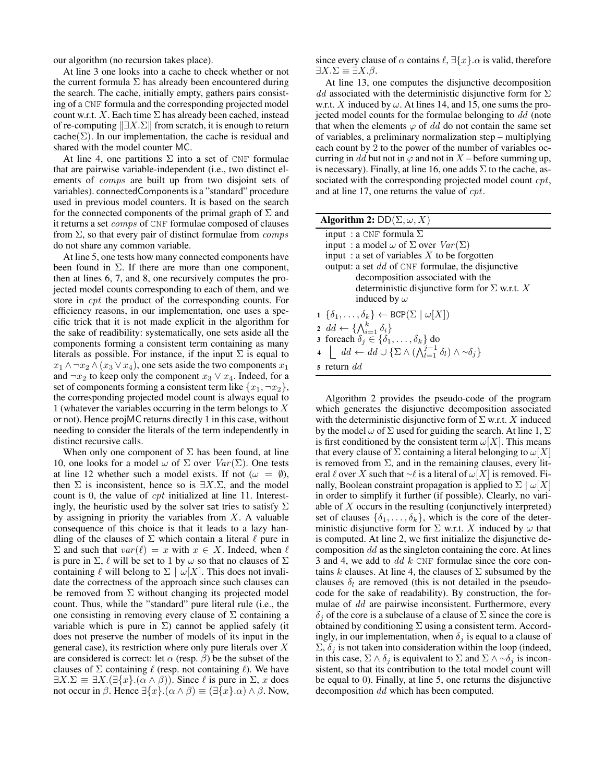our algorithm (no recursion takes place).

At line 3 one looks into a cache to check whether or not the current formula  $\Sigma$  has already been encountered during the search. The cache, initially empty, gathers pairs consisting of a CNF formula and the corresponding projected model count w.r.t. X. Each time  $\Sigma$  has already been cached, instead of re-computing  $\Vert \exists X.\Sigma \Vert$  from scratch, it is enough to return cache( $\Sigma$ ). In our implementation, the cache is residual and shared with the model counter MC.

At line 4, one partitions  $\Sigma$  into a set of CNF formulae that are pairwise variable-independent (i.e., two distinct elements of comps are built up from two disjoint sets of variables). connectedComponents is a "standard" procedure used in previous model counters. It is based on the search for the connected components of the primal graph of  $\Sigma$  and it returns a set comps of CNF formulae composed of clauses from  $\Sigma$ , so that every pair of distinct formulae from *comps* do not share any common variable.

At line 5, one tests how many connected components have been found in  $\Sigma$ . If there are more than one component, then at lines 6, 7, and 8, one recursively computes the projected model counts corresponding to each of them, and we store in cpt the product of the corresponding counts. For efficiency reasons, in our implementation, one uses a specific trick that it is not made explicit in the algorithm for the sake of readibility: systematically, one sets aside all the components forming a consistent term containing as many literals as possible. For instance, if the input  $\Sigma$  is equal to  $x_1 \wedge \neg x_2 \wedge (x_3 \vee x_4)$ , one sets aside the two components  $x_1$ and  $\neg x_2$  to keep only the component  $x_3 \lor x_4$ . Indeed, for a set of components forming a consistent term like  $\{x_1, \neg x_2\}$ , the corresponding projected model count is always equal to 1 (whatever the variables occurring in the term belongs to X or not). Hence projMC returns directly 1 in this case, without needing to consider the literals of the term independently in distinct recursive calls.

When only one component of  $\Sigma$  has been found, at line 10, one looks for a model  $\omega$  of  $\Sigma$  over  $Var(\Sigma)$ . One tests at line 12 whether such a model exists. If not ( $\omega = \emptyset$ ), then  $\Sigma$  is inconsistent, hence so is  $\exists X.\Sigma$ , and the model count is 0, the value of cpt initialized at line 11. Interestingly, the heuristic used by the solver sat tries to satisfy  $\Sigma$ by assigning in priority the variables from  $X$ . A valuable consequence of this choice is that it leads to a lazy handling of the clauses of  $\Sigma$  which contain a literal  $\ell$  pure in  $\Sigma$  and such that  $var(\ell) = x$  with  $x \in X$ . Indeed, when  $\ell$ is pure in  $\Sigma$ ,  $\ell$  will be set to 1 by  $\omega$  so that no clauses of  $\Sigma$ containing  $\ell$  will belong to  $\Sigma \mid \omega[X]$ . This does not invalidate the correctness of the approach since such clauses can be removed from  $\Sigma$  without changing its projected model count. Thus, while the "standard" pure literal rule (i.e., the one consisting in removing every clause of  $\Sigma$  containing a variable which is pure in  $\Sigma$ ) cannot be applied safely (it does not preserve the number of models of its input in the general case), its restriction where only pure literals over  $X$ are considered is correct: let  $\alpha$  (resp.  $\beta$ ) be the subset of the clauses of  $\Sigma$  containing  $\ell$  (resp. not containing  $\ell$ ). We have  $\exists X.\Sigma \equiv \exists X.(\exists \{x\}.(\alpha \wedge \beta)).$  Since  $\ell$  is pure in  $\Sigma$ , x does not occur in  $\beta$ . Hence  $\exists \{x\}.(\alpha \land \beta) \equiv (\exists \{x\}.\alpha) \land \beta$ . Now,

since every clause of  $\alpha$  contains  $\ell$ ,  $\exists \{x\}.\alpha$  is valid, therefore  $\exists X.\Sigma \equiv \exists X.\beta.$ 

At line 13, one computes the disjunctive decomposition dd associated with the deterministic disjunctive form for  $\Sigma$ w.r.t. X induced by  $\omega$ . At lines 14, and 15, one sums the projected model counts for the formulae belonging to dd (note that when the elements  $\varphi$  of dd do not contain the same set of variables, a preliminary normalization step – multiplying each count by 2 to the power of the number of variables occurring in dd but not in  $\varphi$  and not in X – before summing up, is necessary). Finally, at line 16, one adds  $\Sigma$  to the cache, associated with the corresponding projected model count *cpt*, and at line 17, one returns the value of cpt.

| Algorithm 2: $DD(\Sigma, \omega, X)$                                                                                                           |  |  |
|------------------------------------------------------------------------------------------------------------------------------------------------|--|--|
| input : a CNF formula $\Sigma$                                                                                                                 |  |  |
| input: a model $\omega$ of $\Sigma$ over $Var(\Sigma)$                                                                                         |  |  |
| input : a set of variables X to be forgotten                                                                                                   |  |  |
| output: a set $dd$ of CNF formulae, the disjunctive                                                                                            |  |  |
| decomposition associated with the                                                                                                              |  |  |
| deterministic disjunctive form for $\Sigma$ w.r.t. X                                                                                           |  |  |
| induced by $\omega$                                                                                                                            |  |  |
| $1 \{\delta_1,\ldots,\delta_k\} \leftarrow \text{BCP}(\Sigma \mid \omega[X])$                                                                  |  |  |
| 2 $dd \leftarrow \{\bigwedge_{i=1}^k \delta_i\}$                                                                                               |  |  |
| 3 foreach $\delta_j \in \{\delta_1, \ldots, \delta_k\}$ do                                                                                     |  |  |
| 4 $\left  \quad dd \leftarrow dd \cup \left\{ \sum \wedge \left( \bigwedge_{l=1}^{j-1} \delta_l \right) \wedge \sim \delta_i \right\} \right $ |  |  |
| 5 return $dd$                                                                                                                                  |  |  |

Algorithm 2 provides the pseudo-code of the program which generates the disjunctive decomposition associated with the deterministic disjunctive form of  $\Sigma$  w.r.t. X induced by the model  $\omega$  of  $\Sigma$  used for guiding the search. At line 1,  $\Sigma$ is first conditioned by the consistent term  $\omega[X]$ . This means that every clause of  $\Sigma$  containing a literal belonging to  $\omega[X]$ is removed from  $\Sigma$ , and in the remaining clauses, every literal  $\ell$  over X such that ∼ $\ell$  is a literal of  $\omega[X]$  is removed. Finally, Boolean constraint propagation is applied to  $\Sigma | \omega |X|$ in order to simplify it further (if possible). Clearly, no variable of  $X$  occurs in the resulting (conjunctively interpreted) set of clauses  $\{\delta_1, \ldots, \delta_k\}$ , which is the core of the deterministic disjunctive form for  $\Sigma$  w.r.t. X induced by  $\omega$  that is computed. At line 2, we first initialize the disjunctive decomposition  $dd$  as the singleton containing the core. At lines 3 and 4, we add to  $dd \, k$  CNF formulae since the core contains k clauses. At line 4, the clauses of  $\Sigma$  subsumed by the clauses  $\delta_l$  are removed (this is not detailed in the pseudocode for the sake of readability). By construction, the formulae of dd are pairwise inconsistent. Furthermore, every  $\delta_i$  of the core is a subclause of a clause of  $\Sigma$  since the core is obtained by conditioning  $\Sigma$  using a consistent term. Accordingly, in our implementation, when  $\delta_i$  is equal to a clause of  $\Sigma$ ,  $\delta_i$  is not taken into consideration within the loop (indeed, in this case,  $\Sigma \wedge \delta_j$  is equivalent to  $\Sigma$  and  $\Sigma \wedge \sim \delta_j$  is inconsistent, so that its contribution to the total model count will be equal to 0). Finally, at line 5, one returns the disjunctive decomposition dd which has been computed.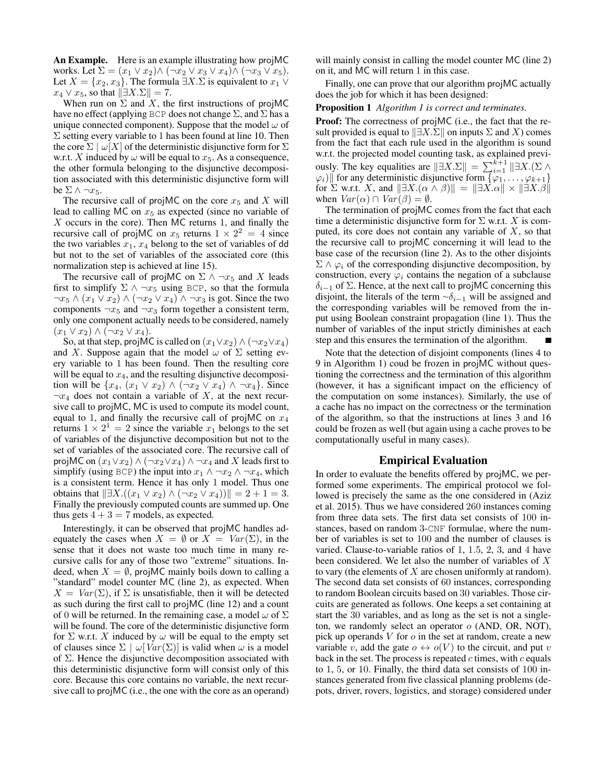An Example. Here is an example illustrating how projMC works. Let  $\Sigma = (x_1 \vee x_2) \wedge (\neg x_2 \vee x_3 \vee x_4) \wedge (\neg x_3 \vee x_5).$ Let  $X = \{x_2, x_3\}$ . The formula  $\exists X. \Sigma$  is equivalent to  $x_1 \vee$  $x_4 \vee x_5$ , so that  $\|\exists X.\Sigma\| = 7$ .

When run on  $\Sigma$  and X, the first instructions of projMC have no effect (applying BCP does not change  $\Sigma$ , and  $\Sigma$  has a unique connected component). Suppose that the model  $\omega$  of  $\Sigma$  setting every variable to 1 has been found at line 10. Then the core  $\Sigma \mid \omega[X]$  of the deterministic disjunctive form for  $\Sigma$ w.r.t. X induced by  $\omega$  will be equal to  $x_5$ . As a consequence, the other formula belonging to the disjunctive decomposition associated with this deterministic disjunctive form will be  $\Sigma \wedge \neg x_5$ .

The recursive call of projMC on the core  $x_5$  and X will lead to calling MC on  $x<sub>5</sub>$  as expected (since no variable of  $X$  occurs in the core). Then MC returns 1, and finally the recursive call of projMC on  $x_5$  returns  $1 \times 2^2 = 4$  since the two variables  $x_1, x_4$  belong to the set of variables of dd but not to the set of variables of the associated core (this normalization step is achieved at line 15).

The recursive call of projMC on  $\Sigma \wedge \neg x_5$  and X leads first to simplify  $\Sigma \wedge \neg x_5$  using BCP, so that the formula  $\neg x_5 \wedge (x_1 \vee x_2) \wedge (\neg x_2 \vee x_4) \wedge \neg x_3$  is got. Since the two components  $\neg x_5$  and  $\neg x_3$  form together a consistent term, only one component actually needs to be considered, namely  $(x_1 \vee x_2) \wedge (\neg x_2 \vee x_4).$ 

So, at that step, projMC is called on  $(x_1 \vee x_2) \wedge (\neg x_2 \vee x_4)$ and X. Suppose again that the model  $\omega$  of  $\Sigma$  setting every variable to 1 has been found. Then the resulting core will be equal to  $x_4$ , and the resulting disjunctive decomposition will be  $\{x_4, (x_1 \vee x_2) \wedge (\neg x_2 \vee x_4) \wedge \neg x_4\}$ . Since  $\neg x_4$  does not contain a variable of X, at the next recursive call to projMC, MC is used to compute its model count, equal to 1, and finally the recursive call of projMC on  $x_4$ returns  $1 \times 2^1 = 2$  since the variable  $x_1$  belongs to the set of variables of the disjunctive decomposition but not to the set of variables of the associated core. The recursive call of projMC on  $(x_1 \vee x_2) \wedge (\neg x_2 \vee x_4) \wedge \neg x_4$  and X leads first to simplify (using BCP) the input into  $x_1 \wedge \neg x_2 \wedge \neg x_4$ , which is a consistent term. Hence it has only 1 model. Thus one obtains that  $||\exists X.((x_1 ∨ x_2) ∧ (∃x_2 ∨ x_4))|| = 2 + 1 = 3.$ Finally the previously computed counts are summed up. One thus gets  $4 + 3 = 7$  models, as expected.

Interestingly, it can be observed that projMC handles adequately the cases when  $X = \emptyset$  or  $X = Var(\Sigma)$ , in the sense that it does not waste too much time in many recursive calls for any of those two "extreme" situations. Indeed, when  $X = \emptyset$ , projMC mainly boils down to calling a "standard" model counter MC (line 2), as expected. When  $X = Var(\Sigma)$ , if  $\Sigma$  is unsatisfiable, then it will be detected as such during the first call to projMC (line 12) and a count of 0 will be returned. In the remaining case, a model  $\omega$  of  $\Sigma$ will be found. The core of the deterministic disjunctive form for  $\Sigma$  w.r.t. X induced by  $\omega$  will be equal to the empty set of clauses since  $\Sigma \mid \omega \mid Var(\Sigma)$  is valid when  $\omega$  is a model of  $\Sigma$ . Hence the disjunctive decomposition associated with this deterministic disjunctive form will consist only of this core. Because this core contains no variable, the next recursive call to projMC (i.e., the one with the core as an operand)

will mainly consist in calling the model counter MC (line 2) on it, and MC will return 1 in this case.

Finally, one can prove that our algorithm projMC actually does the job for which it has been designed:

#### Proposition 1 *Algorithm 1 is correct and terminates.*

Proof: The correctness of projMC (i.e., the fact that the result provided is equal to  $||\exists X.\Sigma||$  on inputs  $\Sigma$  and X) comes from the fact that each rule used in the algorithm is sound w.r.t. the projected model counting task, as explained previously. The key equalities are  $||\exists X.\Sigma|| = \sum_{i=1}^{k+1} ||\exists X.(\Sigma \wedge$  $\|\varphi_i\|\$  for any deterministic disjunctive form  $\{\varphi_1, \ldots, \varphi_{k+1}\}\$ for  $\Sigma$  w.r.t. X, and  $||\exists X.(\alpha \wedge \beta)|| = ||\exists X. \alpha|| \times ||\exists X. \beta||$ when  $Var(\alpha) \cap Var(\beta) = \emptyset$ .

The termination of projMC comes from the fact that each time a deterministic disjunctive form for  $\Sigma$  w.r.t. X is computed, its core does not contain any variable of  $X$ , so that the recursive call to projMC concerning it will lead to the base case of the recursion (line 2). As to the other disjoints  $\Sigma \wedge \varphi_i$  of the corresponding disjunctive decomposition, by construction, every  $\varphi_i$  contains the negation of a subclause  $\delta_{i-1}$  of  $\Sigma$ . Hence, at the next call to projMC concerning this disjoint, the literals of the term  $\sim \delta_{i-1}$  will be assigned and the corresponding variables will be removed from the input using Boolean constraint propagation (line 1). Thus the number of variables of the input strictly diminishes at each step and this ensures the termination of the algorithm.

Note that the detection of disjoint components (lines 4 to 9 in Algorithm 1) coud be frozen in projMC without questioning the correctness and the termination of this algorithm (however, it has a significant impact on the efficiency of the computation on some instances). Similarly, the use of a cache has no impact on the correctness or the termination of the algorithm, so that the instructions at lines 3 and 16 could be frozen as well (but again using a cache proves to be computationally useful in many cases).

#### Empirical Evaluation

In order to evaluate the benefits offered by projMC, we performed some experiments. The empirical protocol we followed is precisely the same as the one considered in (Aziz et al. 2015). Thus we have considered 260 instances coming from three data sets. The first data set consists of 100 instances, based on random 3-CNF formulae, where the number of variables is set to 100 and the number of clauses is varied. Clause-to-variable ratios of 1, 1.5, 2, 3, and 4 have been considered. We let also the number of variables of X to vary (the elements of X are chosen uniformly at random). The second data set consists of 60 instances, corresponding to random Boolean circuits based on 30 variables. Those circuits are generated as follows. One keeps a set containing at start the 30 variables, and as long as the set is not a singleton, we randomly select an operator o (AND, OR, NOT), pick up operands  $V$  for  $o$  in the set at random, create a new variable v, add the gate  $o \leftrightarrow o(V)$  to the circuit, and put v back in the set. The process is repeated  $c$  times, with  $c$  equals to 1, 5, or 10. Finally, the third data set consists of 100 instances generated from five classical planning problems (depots, driver, rovers, logistics, and storage) considered under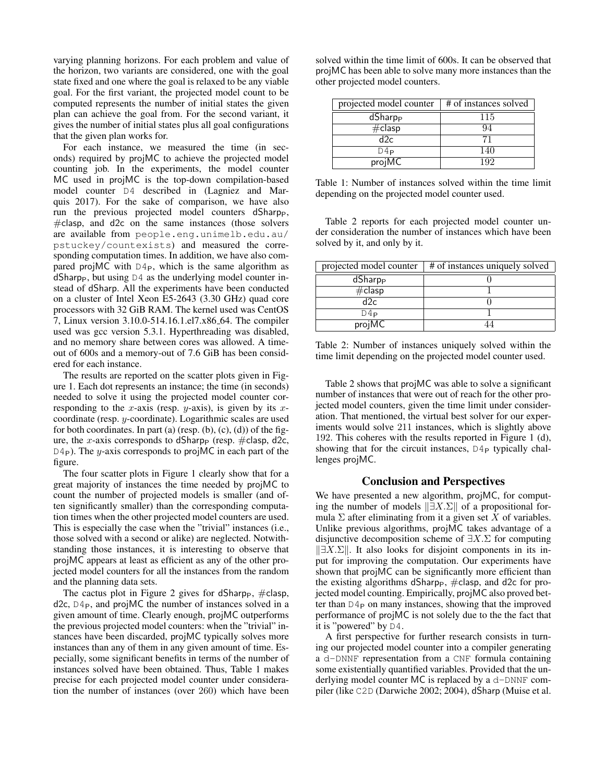varying planning horizons. For each problem and value of the horizon, two variants are considered, one with the goal state fixed and one where the goal is relaxed to be any viable goal. For the first variant, the projected model count to be computed represents the number of initial states the given plan can achieve the goal from. For the second variant, it gives the number of initial states plus all goal configurations that the given plan works for.

For each instance, we measured the time (in seconds) required by projMC to achieve the projected model counting job. In the experiments, the model counter MC used in projMC is the top-down compilation-based model counter D4 described in (Lagniez and Marquis 2017). For the sake of comparison, we have also run the previous projected model counters dSharpp, #clasp, and d2c on the same instances (those solvers are available from people.eng.unimelb.edu.au/ pstuckey/countexists) and measured the corresponding computation times. In addition, we have also compared projMC with  $D4<sub>P</sub>$ , which is the same algorithm as dSharp<sub>P</sub>, but using  $D4$  as the underlying model counter instead of dSharp. All the experiments have been conducted on a cluster of Intel Xeon E5-2643 (3.30 GHz) quad core processors with 32 GiB RAM. The kernel used was CentOS 7, Linux version 3.10.0-514.16.1.el7.x86 64. The compiler used was gcc version 5.3.1. Hyperthreading was disabled, and no memory share between cores was allowed. A timeout of 600s and a memory-out of 7.6 GiB has been considered for each instance.

The results are reported on the scatter plots given in Figure 1. Each dot represents an instance; the time (in seconds) needed to solve it using the projected model counter corresponding to the x-axis (resp.  $y$ -axis), is given by its  $x$ coordinate (resp. y-coordinate). Logarithmic scales are used for both coordinates. In part (a) (resp.  $(b)$ ,  $(c)$ ,  $(d)$ ) of the figure, the x-axis corresponds to dSharp<sub>P</sub> (resp.  $\#$ clasp, d2c,  $D4<sub>P</sub>$ ). The y-axis corresponds to projMC in each part of the figure.

The four scatter plots in Figure 1 clearly show that for a great majority of instances the time needed by projMC to count the number of projected models is smaller (and often significantly smaller) than the corresponding computation times when the other projected model counters are used. This is especially the case when the "trivial" instances (i.e., those solved with a second or alike) are neglected. Notwithstanding those instances, it is interesting to observe that projMC appears at least as efficient as any of the other projected model counters for all the instances from the random and the planning data sets.

The cactus plot in Figure 2 gives for dSharp<sub>P</sub>,  $\#$ clasp,  $d2c$ ,  $D4P$ , and projMC the number of instances solved in a given amount of time. Clearly enough, projMC outperforms the previous projected model counters: when the "trivial" instances have been discarded, projMC typically solves more instances than any of them in any given amount of time. Especially, some significant benefits in terms of the number of instances solved have been obtained. Thus, Table 1 makes precise for each projected model counter under consideration the number of instances (over 260) which have been

solved within the time limit of 600s. It can be observed that projMC has been able to solve many more instances than the other projected model counters.

| projected model counter           | # of instances solved |
|-----------------------------------|-----------------------|
| $\overline{d}$ Sharp <sub>P</sub> | 115                   |
| $#$ clasp                         | 94                    |
| d2c.                              |                       |
| D4P                               | 140                   |
| projMC                            | 192                   |

Table 1: Number of instances solved within the time limit depending on the projected model counter used.

Table 2 reports for each projected model counter under consideration the number of instances which have been solved by it, and only by it.

| projected model counter | # of instances uniquely solved |
|-------------------------|--------------------------------|
| dSharp <sub>P</sub>     |                                |
| $\#$ clasp              |                                |
| d2c                     |                                |
| D4P                     |                                |
| projMC                  |                                |

Table 2: Number of instances uniquely solved within the time limit depending on the projected model counter used.

Table 2 shows that projMC was able to solve a significant number of instances that were out of reach for the other projected model counters, given the time limit under consideration. That mentioned, the virtual best solver for our experiments would solve 211 instances, which is slightly above 192. This coheres with the results reported in Figure 1 (d), showing that for the circuit instances,  $D4_P$  typically challenges projMC.

#### Conclusion and Perspectives

We have presented a new algorithm, projMC, for computing the number of models  $\|\exists X.\Sigma\|$  of a propositional formula  $\Sigma$  after eliminating from it a given set X of variables. Unlike previous algorithms, projMC takes advantage of a disjunctive decomposition scheme of  $\exists X.\Sigma$  for computing  $\|\exists X.\Sigma\|$ . It also looks for disjoint components in its input for improving the computation. Our experiments have shown that projMC can be significantly more efficient than the existing algorithms dSharp $_P$ ,  $\#$ clasp, and d2c for projected model counting. Empirically, projMC also proved better than  $D4<sub>P</sub>$  on many instances, showing that the improved performance of projMC is not solely due to the the fact that it is "powered" by D4.

A first perspective for further research consists in turning our projected model counter into a compiler generating a d-DNNF representation from a CNF formula containing some existentially quantified variables. Provided that the underlying model counter MC is replaced by a d-DNNF compiler (like C2D (Darwiche 2002; 2004), dSharp (Muise et al.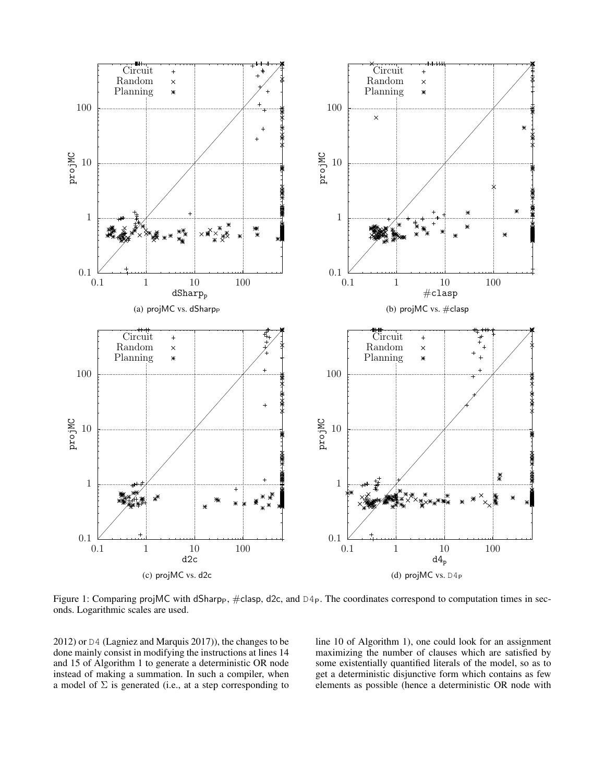

Figure 1: Comparing projMC with dSharpp,  $\#$ clasp, d2c, and  $D4p$ . The coordinates correspond to computation times in seconds. Logarithmic scales are used.

2012) or D4 (Lagniez and Marquis 2017)), the changes to be done mainly consist in modifying the instructions at lines 14 and 15 of Algorithm 1 to generate a deterministic OR node instead of making a summation. In such a compiler, when a model of  $\Sigma$  is generated (i.e., at a step corresponding to line 10 of Algorithm 1), one could look for an assignment maximizing the number of clauses which are satisfied by some existentially quantified literals of the model, so as to get a deterministic disjunctive form which contains as few elements as possible (hence a deterministic OR node with